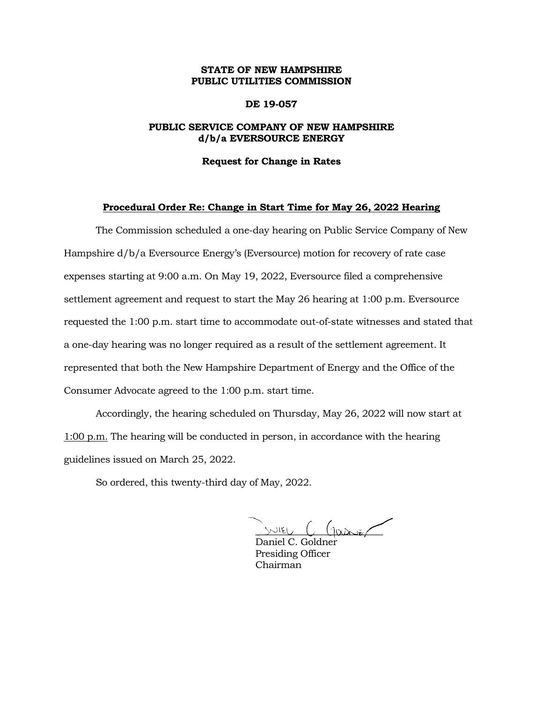# **STATE OF NEW HAMPSHIRE PUBLIC UTILITIES COMMISSION**

## **DE 19-057**

# **PUBLIC SERVICE COMPANY OF NEW HAMPSHIRE d/b/a EVERSOURCE ENERGY**

#### **Request for Change in Rates**

## **Procedural Order Re: Change in Start Time for May 26, 2022 Hearing**

The Commission scheduled a one-day hearing on Public Service Company of New Hampshire d/b/a Eversource Energy's (Eversource) motion for recovery of rate case expenses starting at 9:00 a.m. On May 19, 2022, Eversource filed a comprehensive settlement agreement and request to start the May 26 hearing at 1:00 p.m. Eversource requested the 1:00 p.m. start time to accommodate out-of-state witnesses and stated that a one-day hearing was no longer required as a result of the settlement agreement. It represented that both the New Hampshire Department of Energy and the Office of the Consumer Advocate agreed to the 1:00 p.m. start time.

Accordingly, the hearing scheduled on Thursday, May 26, 2022 will now start at 1:00 p.m. The hearing will be conducted in person, in accordance with the hearing guidelines issued on March 25, 2022.

So ordered, this twenty-third day of May, 2022.

 $\cup$  ieu  $C$  (jaansen

Daniel C. Goldner Presiding Officer Chairman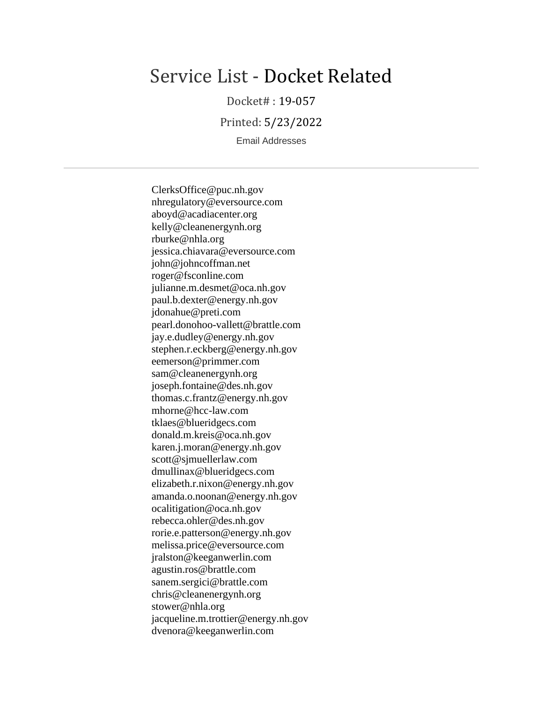# Service List - Docket Related

Docket# : 19-057

Printed: 5/23/2022

Email Addresses

ClerksOffice@puc.nh.gov nhregulatory@eversource.com aboyd@acadiacenter.org kelly@cleanenergynh.org rburke@nhla.org jessica.chiavara@eversource.com john@johncoffman.net roger@fsconline.com julianne.m.desmet@oca.nh.gov paul.b.dexter@energy.nh.gov jdonahue@preti.com pearl.donohoo-vallett@brattle.com jay.e.dudley@energy.nh.gov stephen.r.eckberg@energy.nh.gov eemerson@primmer.com sam@cleanenergynh.org joseph.fontaine@des.nh.gov thomas.c.frantz@energy.nh.gov mhorne@hcc-law.com tklaes@blueridgecs.com donald.m.kreis@oca.nh.gov karen.j.moran@energy.nh.gov scott@sjmuellerlaw.com dmullinax@blueridgecs.com elizabeth.r.nixon@energy.nh.gov amanda.o.noonan@energy.nh.gov ocalitigation@oca.nh.gov rebecca.ohler@des.nh.gov rorie.e.patterson@energy.nh.gov melissa.price@eversource.com jralston@keeganwerlin.com agustin.ros@brattle.com sanem.sergici@brattle.com chris@cleanenergynh.org stower@nhla.org jacqueline.m.trottier@energy.nh.gov dvenora@keeganwerlin.com